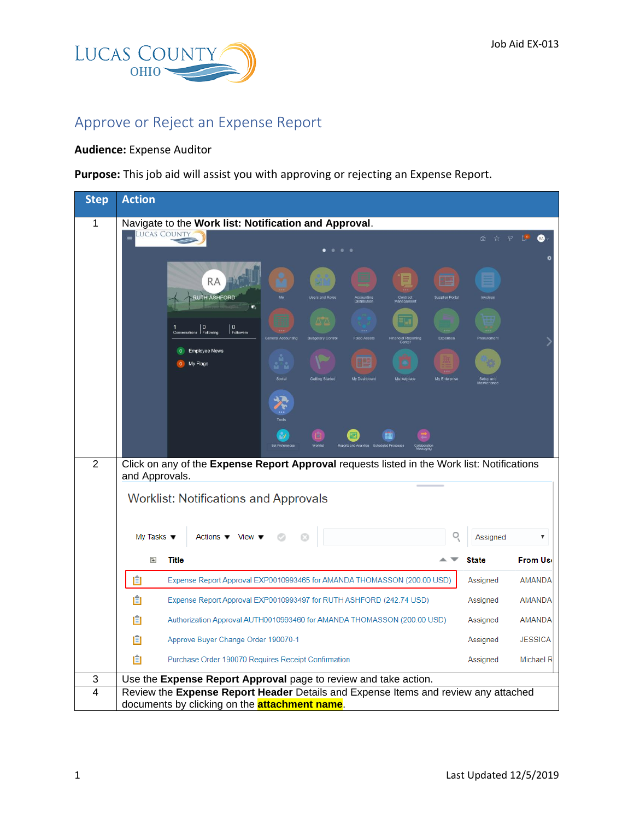

## Approve or Reject an Expense Report

## **Audience:** Expense Auditor

**Purpose:** This job aid will assist you with approving or rejecting an Expense Report.

| <b>Step</b>    | <b>Action</b>                                                                                                                                                                     |              |                |  |  |  |  |  |
|----------------|-----------------------------------------------------------------------------------------------------------------------------------------------------------------------------------|--------------|----------------|--|--|--|--|--|
| 1              | Navigate to the Work list: Notification and Approval.                                                                                                                             |              |                |  |  |  |  |  |
|                | <b>LUCAS COUNTY</b>                                                                                                                                                               |              |                |  |  |  |  |  |
|                | 醒<br><b>RA</b><br><b>RUTH ASHFORD</b><br><b>Isers and Role</b><br>п                                                                                                               |              |                |  |  |  |  |  |
|                | $\mathbf{0}$<br>$\left  \begin{smallmatrix} 0 \\ \mathsf{F}_\mathsf{O}\mathsf{II} \end{smallmatrix} \right $<br>Followers<br>tary Control<br><b>Fixed Asset</b><br>cial Reporting |              |                |  |  |  |  |  |
|                | <b>Employee News</b><br>My Flags<br>Mv Fnt                                                                                                                                        |              |                |  |  |  |  |  |
|                |                                                                                                                                                                                   |              |                |  |  |  |  |  |
|                |                                                                                                                                                                                   |              |                |  |  |  |  |  |
| $\overline{2}$ | Click on any of the Expense Report Approval requests listed in the Work list: Notifications                                                                                       |              |                |  |  |  |  |  |
|                | and Approvals.<br><b>Worklist: Notifications and Approvals</b>                                                                                                                    |              |                |  |  |  |  |  |
|                | Actions $\blacktriangledown$ View $\blacktriangledown$<br>My Tasks $\blacktriangledown$                                                                                           | Assigned     | ▼              |  |  |  |  |  |
|                | <b>Title</b><br>₹                                                                                                                                                                 | <b>State</b> | <b>From Us</b> |  |  |  |  |  |
|                | 自<br>Expense Report Approval EXP0010993465 for AMANDA THOMASSON (200.00 USD)                                                                                                      | Assigned     | <b>AMANDA</b>  |  |  |  |  |  |
|                | 自<br>Expense Report Approval EXP0010993497 for RUTH ASHFORD (242.74 USD)                                                                                                          | Assigned     | <b>AMANDA</b>  |  |  |  |  |  |
|                | E<br>Authorization Approval AUTH0010993460 for AMANDA THOMASSON (200.00 USD)                                                                                                      | Assigned     | <b>AMANDA</b>  |  |  |  |  |  |
|                | Ħ<br>Approve Buyer Change Order 190070-1                                                                                                                                          | Assigned     | <b>JESSICA</b> |  |  |  |  |  |
|                | 圁<br>Purchase Order 190070 Requires Receipt Confirmation                                                                                                                          | Assigned     | Michael R      |  |  |  |  |  |
| 3              | Use the Expense Report Approval page to review and take action.                                                                                                                   |              |                |  |  |  |  |  |
| $\overline{4}$ | Review the Expense Report Header Details and Expense Items and review any attached<br>documents by clicking on the <b>attachment name</b> .                                       |              |                |  |  |  |  |  |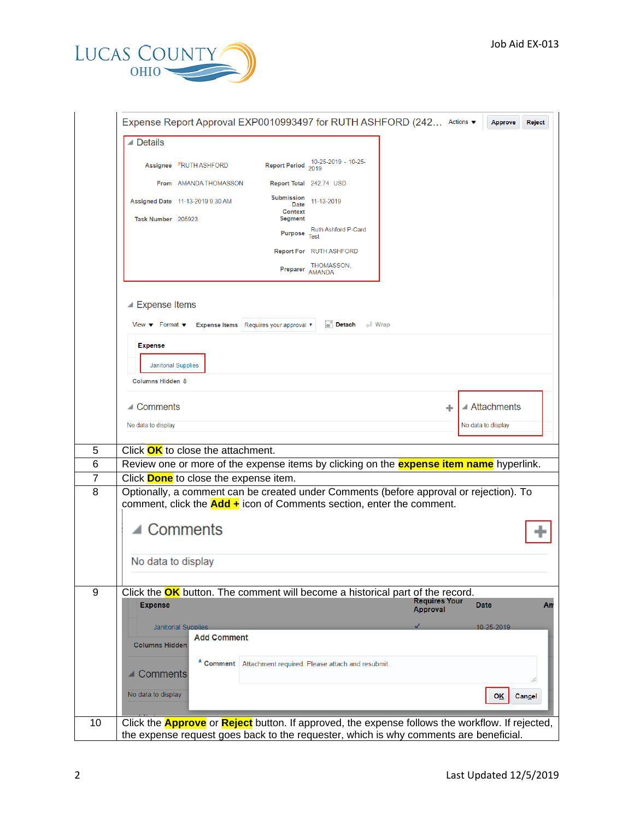

|                                                                                            |                                              | Expense Report Approval EXP0010993497 for RUTH ASHFORD (242 Actions ▼                                                                                             |                      |                              |
|--------------------------------------------------------------------------------------------|----------------------------------------------|-------------------------------------------------------------------------------------------------------------------------------------------------------------------|----------------------|------------------------------|
| <b>⊿</b> Details                                                                           |                                              |                                                                                                                                                                   |                      |                              |
|                                                                                            | Assignee RUTH ASHFORD                        | Report Period 2019<br>2019 - 10-25-                                                                                                                               |                      |                              |
|                                                                                            | From AMANDA THOMASSON                        | Report Total 242.74 USD                                                                                                                                           |                      |                              |
|                                                                                            | Assigned Date 11-13-2019 9:30 AM             | Submission<br>11-13-2019<br>Date<br><b>Context</b>                                                                                                                |                      |                              |
| Task Number 205923                                                                         |                                              | <b>Segment</b>                                                                                                                                                    |                      |                              |
|                                                                                            |                                              | Ruth Ashford P-Card<br>Purpose Test                                                                                                                               |                      |                              |
|                                                                                            |                                              | <b>Report For</b> RUTH ASHFORD                                                                                                                                    |                      |                              |
|                                                                                            |                                              | THOMASSON,<br>Preparer AMANDA                                                                                                                                     |                      |                              |
| ▲ Expense Items<br>View $\blacktriangledown$ Format $\blacktriangledown$<br><b>Expense</b> | <b>Janitorial Supplies</b>                   | Detach<br>Expense Items Requires your approval ▼                                                                                                                  | $\parallel$ Wrap     |                              |
| <b>Columns Hidden 8</b>                                                                    |                                              |                                                                                                                                                                   |                      |                              |
|                                                                                            |                                              |                                                                                                                                                                   |                      |                              |
| $\triangle$ Comments                                                                       |                                              |                                                                                                                                                                   | ÷                    | $\blacktriangle$ Attachments |
| No data to display                                                                         |                                              |                                                                                                                                                                   |                      | No data to display           |
|                                                                                            | Click OK to close the attachment.            |                                                                                                                                                                   |                      |                              |
|                                                                                            |                                              | Review one or more of the expense items by clicking on the <b>expense item name</b> hyperlink.                                                                    |                      |                              |
|                                                                                            | Click <b>Done</b> to close the expense item. |                                                                                                                                                                   |                      |                              |
|                                                                                            |                                              | Optionally, a comment can be created under Comments (before approval or rejection). To<br>comment, click the $Add +$ icon of Comments section, enter the comment. |                      |                              |
|                                                                                            | Comments                                     |                                                                                                                                                                   |                      |                              |
|                                                                                            | No data to display                           |                                                                                                                                                                   |                      |                              |
| <b>Expense</b>                                                                             |                                              | Click the OK button. The comment will become a historical part of the record.                                                                                     | <b>Requires Your</b> | <b>Date</b><br>Am            |
|                                                                                            |                                              |                                                                                                                                                                   | <b>Approval</b>      |                              |
|                                                                                            | <b>Janitorial Supplies</b>                   |                                                                                                                                                                   |                      | 10-25-2019                   |
|                                                                                            |                                              |                                                                                                                                                                   |                      |                              |
| <b>Columns Hidden</b>                                                                      | <b>Add Comment</b>                           |                                                                                                                                                                   |                      |                              |
| $\blacksquare$ Comments                                                                    | * Comment                                    | Attachment required. Please attach and resubmit.                                                                                                                  |                      |                              |
|                                                                                            |                                              |                                                                                                                                                                   |                      |                              |
| No data to display                                                                         |                                              |                                                                                                                                                                   |                      | <b>OK</b><br><b>Cancel</b>   |